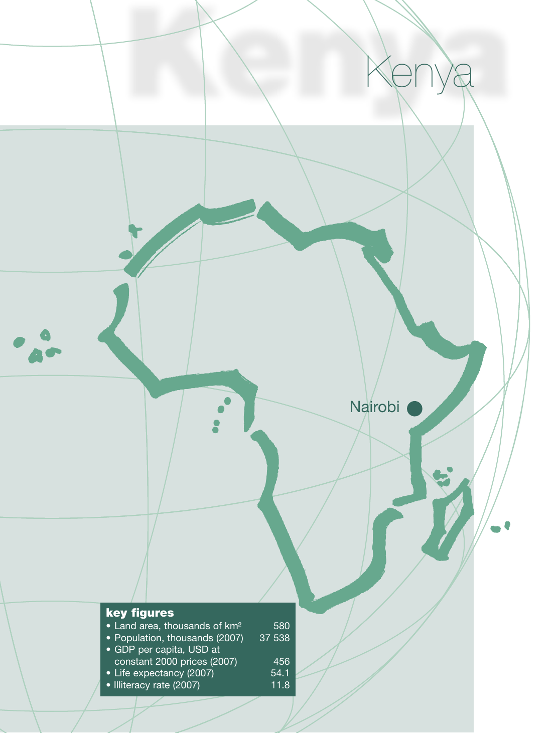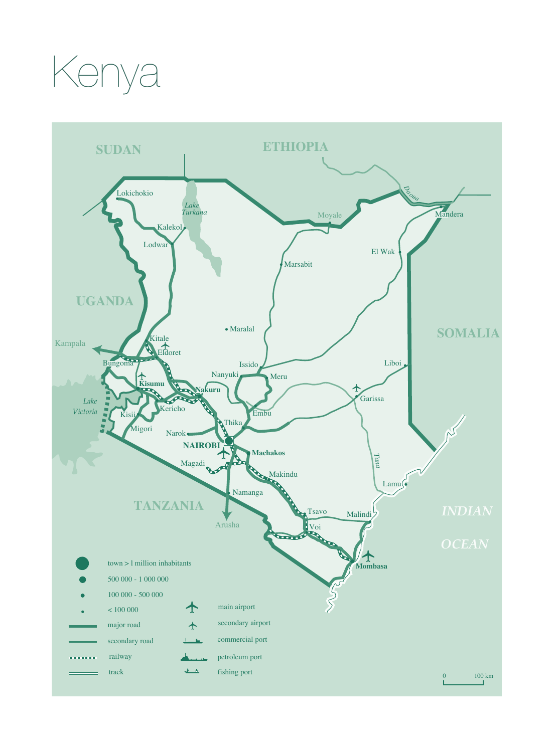

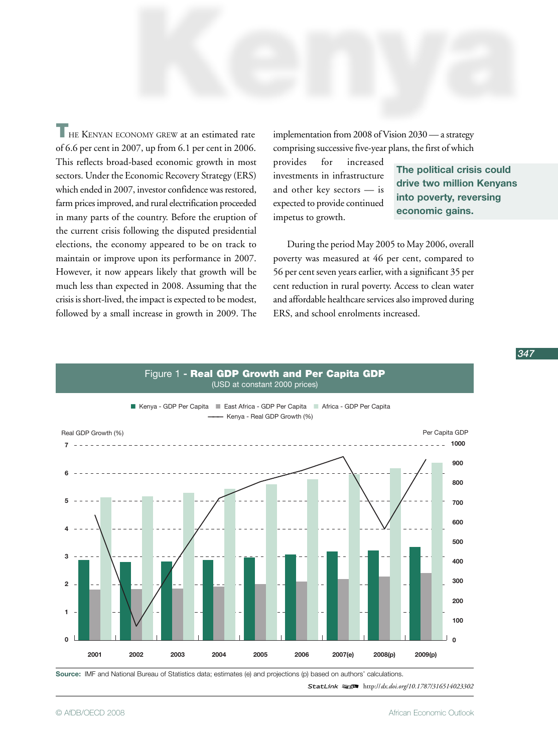**THE KENYAN ECONOMY GREW at an estimated rate** of 6.6 per cent in 2007, up from 6.1 per cent in 2006. This reflects broad-based economic growth in most sectors. Under the Economic Recovery Strategy (ERS) which ended in 2007, investor confidence was restored, farm prices improved, and rural electrification proceeded in many parts of the country. Before the eruption of the current crisis following the disputed presidential elections, the economy appeared to be on track to maintain or improve upon its performance in 2007. However, it now appears likely that growth will be much less than expected in 2008. Assuming that the crisis is short-lived, the impact is expected to be modest, followed by a small increase in growth in 2009. The

implementation from 2008 ofVision 2030 — a strategy comprising successive five-year plans, the first of which

provides for increased investments in infrastructure and other key sectors — is expected to provide continued impetus to growth.

**The political crisis could drive two million Kenyans into poverty, reversing economic gains.**

During the period May 2005 to May 2006, overall poverty was measured at 46 per cent, compared to 56 per cent seven years earlier, with a significant 35 per cent reduction in rural poverty. Access to clean water and affordable healthcare services also improved during ERS, and school enrolments increased.



**Source:** IMF and National Bureau of Statistics data; estimates (e) and projections (p) based on authors' calculations.

12 http://*[dx.doi.org/10.1787/316514023302](http://dx.doi.org/10.1787/316514023302)*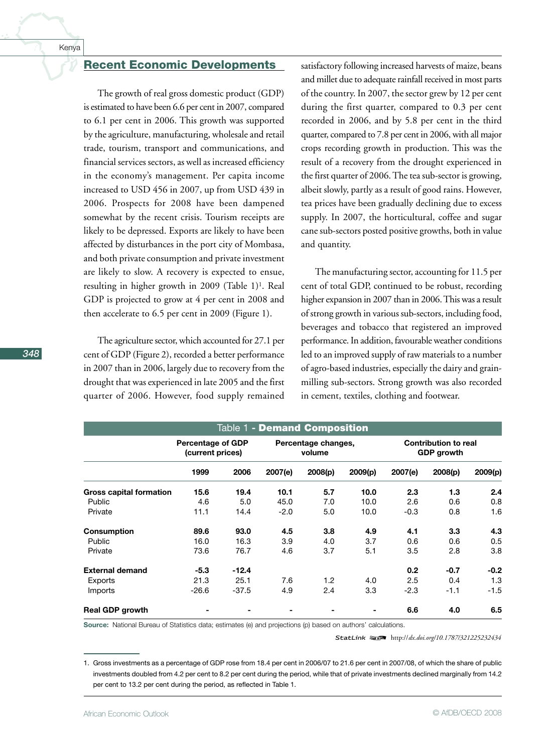## **Recent Economic Developments**

The growth of real gross domestic product (GDP) is estimated to have been 6.6 per cent in 2007, compared to 6.1 per cent in 2006. This growth was supported by the agriculture, manufacturing, wholesale and retail trade, tourism, transport and communications, and financial services sectors, as well as increased efficiency in the economy's management. Per capita income increased to USD 456 in 2007, up from USD 439 in 2006. Prospects for 2008 have been dampened somewhat by the recent crisis. Tourism receipts are likely to be depressed. Exports are likely to have been affected by disturbances in the port city of Mombasa, and both private consumption and private investment are likely to slow. A recovery is expected to ensue, resulting in higher growth in 2009 (Table 1)1. Real GDP is projected to grow at 4 per cent in 2008 and then accelerate to 6.5 per cent in 2009 (Figure 1).

The agriculture sector, which accounted for 27.1 per cent of GDP (Figure 2), recorded a better performance in 2007 than in 2006, largely due to recovery from the drought that was experienced in late 2005 and the first quarter of 2006. However, food supply remained

satisfactory following increased harvests of maize, beans and millet due to adequate rainfall received in most parts of the country. In 2007, the sector grew by 12 per cent during the first quarter, compared to 0.3 per cent recorded in 2006, and by 5.8 per cent in the third quarter, compared to 7.8 per cent in 2006, with all major crops recording growth in production. This was the result of a recovery from the drought experienced in the first quarter of 2006. The tea sub-sector is growing, albeit slowly, partly as a result of good rains. However, tea prices have been gradually declining due to excess supply. In 2007, the horticultural, coffee and sugar canesub-sectors posted positive growths, both in value and quantity.

The manufacturing sector, accounting for 11.5 per cent of total GDP, continued to be robust, recording higher expansion in 2007 than in 2006. This was a result of strong growth in various sub-sectors, including food, beverages and tobacco that registered an improved performance. In addition, favourable weather conditions led to an improved supply of raw materials to a number of agro-based industries, especially the dairy and grainmilling sub-sectors. Strong growth was also recorded in cement, textiles, clothing and footwear.

|                                |                                              |         |                               | <b>Table 1 - Demand Composition</b> |         |                                                  |         |         |
|--------------------------------|----------------------------------------------|---------|-------------------------------|-------------------------------------|---------|--------------------------------------------------|---------|---------|
|                                | <b>Percentage of GDP</b><br>(current prices) |         | Percentage changes,<br>volume |                                     |         | <b>Contribution to real</b><br><b>GDP</b> growth |         |         |
|                                | 1999                                         | 2006    | 2007(e)                       | 2008(p)                             | 2009(p) | 2007(e)                                          | 2008(p) | 2009(p) |
| <b>Gross capital formation</b> | 15.6                                         | 19.4    | 10.1                          | 5.7                                 | 10.0    | 2.3                                              | 1.3     | 2.4     |
| Public                         | 4.6                                          | 5.0     | 45.0                          | 7.0                                 | 10.0    | 2.6                                              | 0.6     | 0.8     |
| Private                        | 11.1                                         | 14.4    | $-2.0$                        | 5.0                                 | 10.0    | $-0.3$                                           | 0.8     | 1.6     |
| <b>Consumption</b>             | 89.6                                         | 93.0    | 4.5                           | 3.8                                 | 4.9     | 4.1                                              | 3.3     | 4.3     |
| Public                         | 16.0                                         | 16.3    | 3.9                           | 4.0                                 | 3.7     | 0.6                                              | 0.6     | 0.5     |
| Private                        | 73.6                                         | 76.7    | 4.6                           | 3.7                                 | 5.1     | 3.5                                              | 2.8     | 3.8     |
| <b>External demand</b>         | $-5.3$                                       | $-12.4$ |                               |                                     |         | 0.2                                              | $-0.7$  | -0.2    |
| Exports                        | 21.3                                         | 25.1    | 7.6                           | 1.2                                 | 4.0     | 2.5                                              | 0.4     | 1.3     |
| Imports                        | $-26.6$                                      | $-37.5$ | 4.9                           | 2.4                                 | 3.3     | $-2.3$                                           | $-1.1$  | $-1.5$  |
| <b>Real GDP growth</b>         |                                              |         |                               |                                     |         | 6.6                                              | 4.0     | 6.5     |

**Source:** National Bureau of Statistics data; estimates (e) and projections (p) based on authors' calculations.

12 http://*[dx.doi.org/10.1787/321225232434](http://dx.doi.org/10.1787/321225232434)*

1. Gross investments as a percentage of GDP rose from 18.4 per cent in 2006/07 to 21.6 per cent in 2007/08, of which the share of public investments doubled from 4.2 per cent to 8.2 per cent during the period, while that of private investments declined marginally from 14.2 per cent to 13.2 per cent during the period, as reflected in Table 1.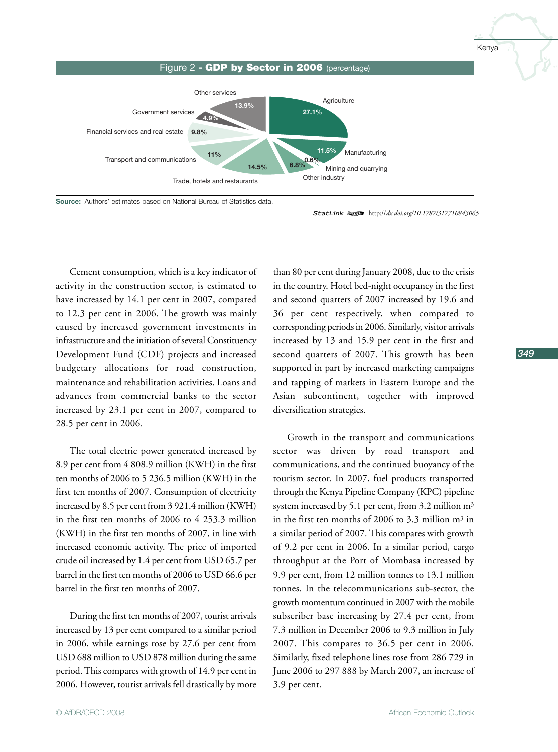Kenya







<sup>12</sup> http://*[dx.doi.org/10.1787/317710843065](http://dx.doi.org/10.1787/317710843065)*

Cement consumption, which is a key indicator of activity in the construction sector, is estimated to have increased by 14.1 per cent in 2007, compared to 12.3 per cent in 2006. The growth was mainly caused by increased government investments in infrastructure and the initiation of several Constituency Development Fund (CDF) projects and increased budgetary allocations for road construction, maintenance and rehabilitation activities. Loans and advances from commercial banks to the sector increased by 23.1 per cent in 2007, compared to 28.5 per cent in 2006.

The total electric power generated increased by 8.9 per cent from 4 808.9 million (KWH) in the first ten months of 2006 to 5 236.5 million (KWH) in the first ten months of 2007. Consumption of electricity increased by 8.5 per cent from 3 921.4 million (KWH) in the first ten months of 2006 to 4 253.3 million (KWH) in the first ten months of 2007, in line with increased economic activity. The price of imported crude oil increased by 1.4 per cent from USD 65.7 per barrel in the first ten months of 2006 to USD 66.6 per barrel in the first ten months of 2007.

During the first ten months of 2007, tourist arrivals increased by 13 per cent compared to a similar period in 2006, while earnings rose by 27.6 per cent from USD 688 million to USD 878 million during thesame period.This compares with growth of 14.9 per cent in 2006. However, tourist arrivals fell drastically by more

than 80 per cent during January 2008, due to the crisis in the country. Hotel bed-night occupancy in the first and second quarters of 2007 increased by 19.6 and 36 per cent respectively, when compared to corresponding periods in 2006. Similarly, visitor arrivals increased by 13 and 15.9 per cent in the first and second quarters of 2007. This growth has been supported in part by increased marketing campaigns and tapping of markets in Eastern Europe and the Asian subcontinent, together with improved diversification strategies.

Growth in the transport and communications sector was driven by road transport and communications, and the continued buoyancy of the tourism sector. In 2007, fuel products transported through the Kenya Pipeline Company (KPC) pipeline system increased by 5.1 per cent, from 3.2 million m3 in the first ten months of 2006 to 3.3 million  $m<sup>3</sup>$  in a similar period of 2007. This compares with growth of 9.2 per cent in 2006. In a similar period, cargo throughput at the Port of Mombasa increased by 9.9 per cent, from 12 million tonnes to 13.1 million tonnes. In the telecommunications sub-sector, the growth momentum continued in 2007 with the mobile subscriber base increasing by 27.4 per cent, from 7.3 million in December 2006 to 9.3 million in July 2007. This compares to 36.5 per cent in 2006. Similarly, fixed telephone lines rose from 286 729 in June 2006 to 297 888 by March 2007, an increase of 3.9 per cent.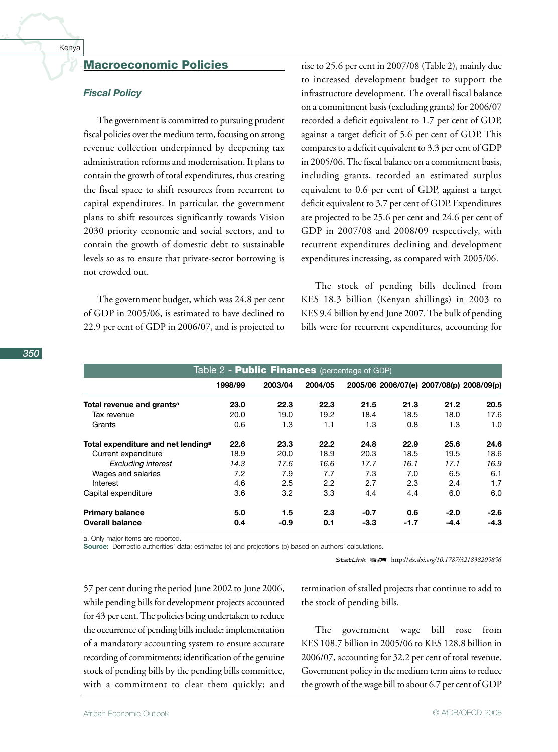### **Macroeconomic Policies**

#### *Fiscal Policy*

The government is committed to pursuing prudent fiscal policies over the medium term, focusing on strong revenue collection underpinned by deepening tax administration reforms and modernisation. It plans to contain the growth of total expenditures, thus creating the fiscal space to shift resources from recurrent to capital expenditures. In particular, the government plans to shift resources significantly towards Vision 2030 priority economic and social sectors, and to contain the growth of domestic debt to sustainable levels so as to ensure that private-sector borrowing is not crowded out.

The government budget, which was 24.8 per cent of GDP in 2005/06, is estimated to have declined to 22.9 per cent of GDP in 2006/07, and is projected to

rise to 25.6 per cent in 2007/08 (Table 2), mainly due to increased development budget to support the infrastructure development. The overall fiscal balance on a commitment basis (excluding grants) for 2006/07 recorded a deficit equivalent to 1.7 per cent of GDP, against a target deficit of 5.6 per cent of GDP. This compares to a deficit equivalent to 3.3 per cent of GDP in 2005/06. The fiscal balance on a commitment basis, including grants, recorded an estimated surplus equivalent to 0.6 per cent of GDP, against a target deficit equivalent to 3.7 per cent of GDP. Expenditures are projected to be 25.6 per cent and 24.6 per cent of GDP in 2007/08 and 2008/09 respectively, with recurrent expenditures declining and development expenditures increasing, as compared with 2005/06.

The stock of pending bills declined from KES 18.3 billion (Kenyan shillings) in 2003 to KES 9.4 billion by end June 2007.The bulk of pending bills were for recurrent expenditures, accounting for

| Table 2 - Public Finances (percentage of GDP)  |         |         |         |        |                                          |        |        |  |
|------------------------------------------------|---------|---------|---------|--------|------------------------------------------|--------|--------|--|
|                                                | 1998/99 | 2003/04 | 2004/05 |        | 2005/06 2006/07(e) 2007/08(p) 2008/09(p) |        |        |  |
| Total revenue and grants <sup>a</sup>          | 23.0    | 22.3    | 22.3    | 21.5   | 21.3                                     | 21.2   | 20.5   |  |
| Tax revenue                                    | 20.0    | 19.0    | 19.2    | 18.4   | 18.5                                     | 18.0   | 17.6   |  |
| Grants                                         | 0.6     | 1.3     | 1.1     | 1.3    | 0.8                                      | 1.3    | 1.0    |  |
| Total expenditure and net lending <sup>a</sup> | 22.6    | 23.3    | 22.2    | 24.8   | 22.9                                     | 25.6   | 24.6   |  |
| Current expenditure                            | 18.9    | 20.0    | 18.9    | 20.3   | 18.5                                     | 19.5   | 18.6   |  |
| <b>Excluding interest</b>                      | 14.3    | 17.6    | 16.6    | 17.7   | 16.1                                     | 17.1   | 16.9   |  |
| Wages and salaries                             | 7.2     | 7.9     | 7.7     | 7.3    | 7.0                                      | 6.5    | 6.1    |  |
| Interest                                       | 4.6     | 2.5     | 2.2     | 2.7    | 2.3                                      | 2.4    | 1.7    |  |
| Capital expenditure                            | 3.6     | 3.2     | 3.3     | 4.4    | 4.4                                      | 6.0    | 6.0    |  |
| <b>Primary balance</b>                         | 5.0     | 1.5     | 2.3     | $-0.7$ | 0.6                                      | $-2.0$ | -2.6   |  |
| <b>Overall balance</b>                         | 0.4     | $-0.9$  | 0.1     | -3.3   | $-1.7$                                   | $-4.4$ | $-4.3$ |  |

a. Only major items are reported.

**Source:** Domestic authorities' data; estimates (e) and projections (p) based on authors' calculations.

12 http://*[dx.doi.org/10.1787/321838205856](http://dx.doi.org/10.1787/321838205856)*

57 per cent during the period June 2002 to June 2006, while pending bills for development projects accounted for 43 per cent.The policies being undertaken to reduce the occurrence of pending bills include: implementation of a mandatory accounting system to ensure accurate recording of commitments; identification of the genuine stock of pending bills by the pending bills committee, with a commitment to clear them quickly; and

termination of stalled projects that continue to add to the stock of pending bills.

The government wage bill rose from KES 108.7 billion in 2005/06 to KES 128.8 billion in 2006/07, accounting for 32.2 per cent of total revenue. Government policy in the medium term aims to reduce the growth of the wage bill to about 6.7 per cent of GDP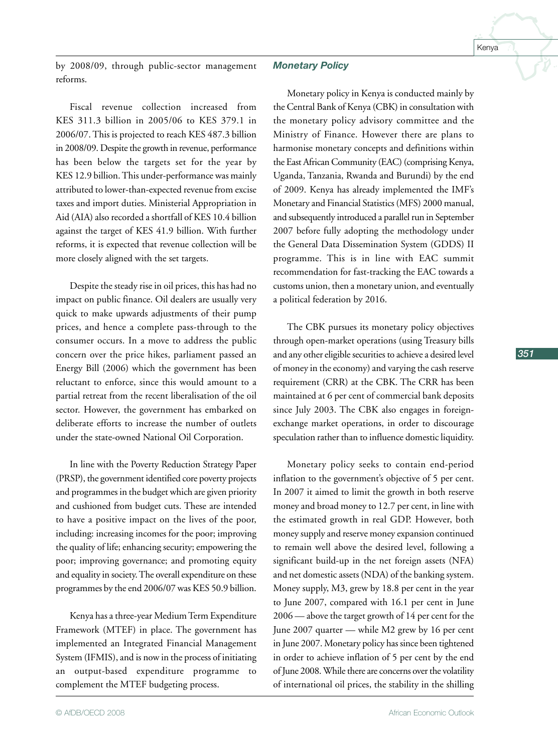by 2008/09, through public-sector management reforms. *Monetary Policy*

Fiscal revenue collection increased from KES 311.3 billion in 2005/06 to KES 379.1 in 2006/07.This is projected to reach KES 487.3 billion in 2008/09. Despite the growth in revenue, performance has been below the targets set for the year by KES 12.9 billion.This under-performance was mainly attributed to lower-than-expected revenue from excise taxes and import duties. Ministerial Appropriation in Aid (AIA) also recorded a shortfall of KES 10.4 billion against the target of KES 41.9 billion. With further reforms, it is expected that revenue collection will be more closely aligned with the set targets.

Despite the steady rise in oil prices, this has had no impact on public finance. Oil dealers are usually very quick to make upwards adjustments of their pump prices, and hence a complete pass-through to the consumer occurs. In a move to address the public concern over the price hikes, parliament passed an Energy Bill (2006) which the government has been reluctant to enforce, since this would amount to a partial retreat from the recent liberalisation of the oil sector. However, the government has embarked on deliberate efforts to increase the number of outlets under the state-owned National Oil Corporation.

In line with the Poverty Reduction Strategy Paper (PRSP), the government identified core poverty projects and programmes in the budget which are given priority and cushioned from budget cuts. These are intended to have a positive impact on the lives of the poor, including: increasing incomes for the poor; improving the quality of life; enhancing security; empowering the poor; improving governance; and promoting equity and equality in society. The overall expenditure on these programmes by the end 2006/07 was KES 50.9 billion.

Kenya has a three-year MediumTerm Expenditure Framework (MTEF) in place. The government has implemented an Integrated Financial Management System (IFMIS), and is now in the process of initiating output-based expenditure programme to complement the MTEF budgeting process.

Monetary policy in Kenya is conducted mainly by the Central Bank of Kenya (CBK) in consultation with the monetary policy advisory committee and the Ministry of Finance. However there are plans to harmonise monetary concepts and definitions within the East African Community (EAC) (comprising Kenya, Uganda, Tanzania, Rwanda and Burundi) by the end of 2009. Kenya has already implemented the IMF's Monetary and Financial Statistics (MFS) 2000 manual, and subsequently introduced a parallel run in September 2007 before fully adopting the methodology under the General Data Dissemination System (GDDS) II programme. This is in line with EAC summit recommendation for fast-tracking the EAC towards a customs union, then a monetary union, and eventually a political federation by 2016.

The CBK pursues its monetary policy objectives through open-market operations (using Treasury bills and any other eligible securities to achieve a desired level of money in the economy) and varying the cash reserve requirement (CRR) at the CBK. The CRR has been maintained at 6 per cent of commercial bank deposits since July 2003. The CBK also engages in foreignexchange market operations, in order to discourage speculation rather than to influence domestic liquidity.

Monetary policy seeks to contain end-period inflation to the government's objective of 5 per cent. In 2007 it aimed to limit the growth in both reserve money and broad money to 12.7 per cent, in line with the estimated growth in real GDP. However, both money supply and reserve money expansion continued to remain well above the desired level, following a significant build-up in the net foreign assets (NFA) and net domestic assets (NDA) of the banking system. Money supply, M3, grew by 18.8 per cent in the year to June 2007, compared with 16.1 per cent in June 2006 — above the target growth of 14 per cent for the June 2007 quarter — while M2 grew by 16 per cent in June 2007. Monetary policy has since been tightened in order to achieve inflation of 5 per cent by the end of June 2008. While there are concerns over the volatility of international oil prices, the stability in the shilling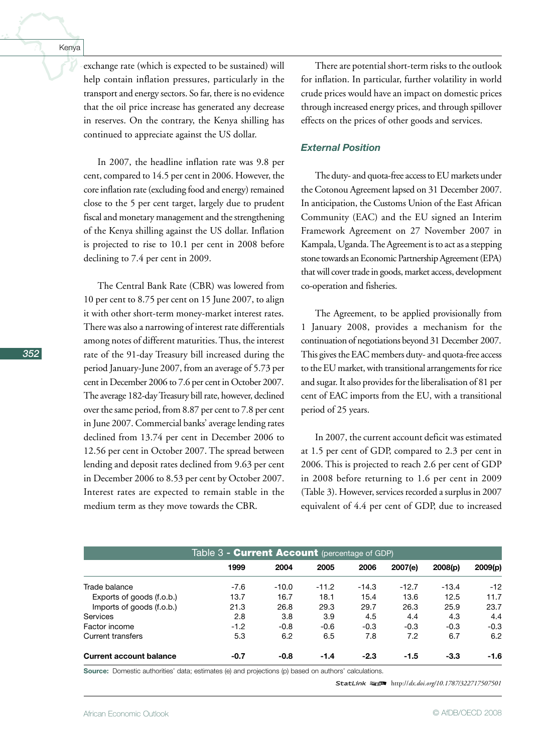exchange rate (which is expected to be sustained) will help contain inflation pressures, particularly in the transport and energy sectors. So far, there is no evidence that the oil price increase has generated any decrease in reserves. On the contrary, the Kenya shilling has continued to appreciate against the US dollar.

In 2007, the headline inflation rate was 9.8 per cent, compared to 14.5 per cent in 2006. However, the core inflation rate (excluding food and energy) remained close to the 5 per cent target, largely due to prudent fiscal and monetary management and the strengthening of the Kenya shilling against the US dollar. Inflation is projected to rise to 10.1 per cent in 2008 before declining to 7.4 per cent in 2009.

The Central Bank Rate (CBR) was lowered from 10 per cent to 8.75 per cent on 15 June 2007, to align it with other short-term money-market interest rates. There was also a narrowing of interest rate differentials among notes of different maturities. Thus, the interest rate of the 91-day Treasury bill increased during the period January-June 2007, from an average of 5.73 per cent in December 2006 to 7.6 per cent in October 2007. The average 182-day Treasury bill rate, however, declined over the same period, from 8.87 per cent to 7.8 per cent in June 2007. Commercial banks' average lending rates declined from 13.74 per cent in December 2006 to 12.56 per cent in October 2007. The spread between lending and deposit rates declined from 9.63 per cent in December 2006 to 8.53 per cent by October 2007. Interest rates are expected to remain stable in the medium term as they move towards the CBR.

There are potential short-term risks to the outlook for inflation. In particular, further volatility in world crude prices would have an impact on domestic prices through increased energy prices, and through spillover effects on the prices of other goods and services.

#### *External Position*

The duty- and quota-free access to EU markets under the Cotonou Agreement lapsed on 31 December 2007. In anticipation, the Customs Union of the East African Community (EAC) and the EU signed an Interim Framework Agreement on 27 November 2007 in Kampala, Uganda.The Agreement isto act as a stepping stone towards an Economic Partnership Agreement (EPA) that will cover trade in goods, market access, development co-operation and fisheries.

The Agreement, to be applied provisionally from 1 January 2008, provides a mechanism for the continuation of negotiations beyond 31December 2007. This gives the EAC members duty- and quota-free access to the EU market, with transitional arrangements for rice and sugar. It also provides for the liberalisation of 81 per cent of EAC imports from the EU, with a transitional period of 25 years.

In 2007, the current account deficit was estimated at 1.5 per cent of GDP, compared to 2.3 per cent in 2006. This is projected to reach 2.6 per cent of GDP in 2008 before returning to 1.6 per cent in 2009 (Table 3). However, services recorded a surplus in 2007 equivalent of 4.4 per cent of GDP, due to increased

| Table 3 - <b>Current Account</b> (percentage of GDP) |        |         |         |         |         |         |         |  |  |
|------------------------------------------------------|--------|---------|---------|---------|---------|---------|---------|--|--|
|                                                      | 1999   | 2004    | 2005    | 2006    | 2007(e) | 2008(p) | 2009(p) |  |  |
| Trade balance                                        | $-7.6$ | $-10.0$ | $-11.2$ | $-14.3$ | $-12.7$ | $-13.4$ | $-12$   |  |  |
| Exports of goods (f.o.b.)                            | 13.7   | 16.7    | 18.1    | 15.4    | 13.6    | 12.5    | 11.7    |  |  |
| Imports of goods (f.o.b.)                            | 21.3   | 26.8    | 29.3    | 29.7    | 26.3    | 25.9    | 23.7    |  |  |
| Services                                             | 2.8    | 3.8     | 3.9     | 4.5     | 4.4     | 4.3     | 4.4     |  |  |
| Factor income                                        | $-1.2$ | $-0.8$  | $-0.6$  | $-0.3$  | $-0.3$  | $-0.3$  | $-0.3$  |  |  |
| Current transfers                                    | 5.3    | 6.2     | 6.5     | 7.8     | 7.2     | 6.7     | 6.2     |  |  |
| <b>Current account balance</b>                       | $-0.7$ | $-0.8$  | $-1.4$  | $-2.3$  | $-1.5$  | $-3.3$  | $-1.6$  |  |  |

**Source:** Domestic authorities' data; estimates (e) and projections (p) based on authors' calculations.

12 http://*[dx.doi.org/10.1787/322717507501](http://dx.doi.org/10.1787/322717507501)*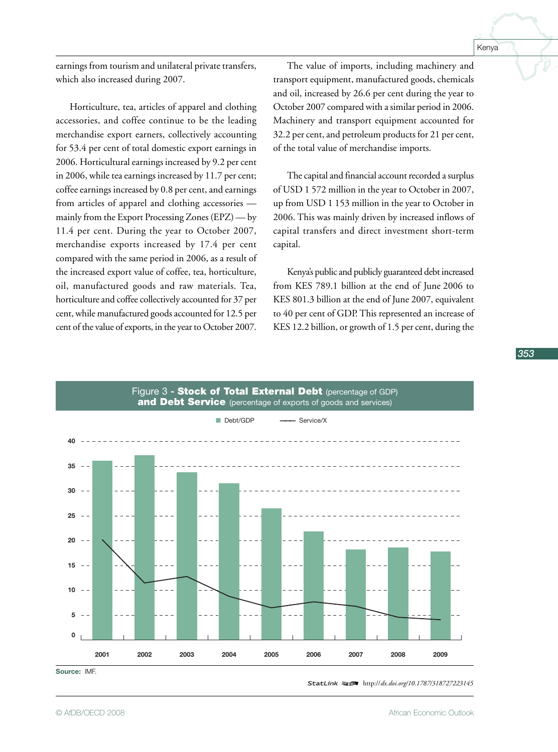Kenya

earnings from tourism and unilateral private transfers, which also increased during 2007.

Horticulture, tea, articles of apparel and clothing accessories, and coffee continue to be the leading merchandise export earners, collectively accounting for 53.4 per cent of total domestic export earnings in 2006. Horticultural earnings increased by 9.2 per cent in 2006, while tea earnings increased by 11.7 per cent; coffee earnings increased by 0.8 per cent, and earnings from articles of apparel and clothing accessories mainly from the Export Processing Zones (EPZ) — by 11.4 per cent. During the year to October 2007, merchandise exports increased by 17.4 per cent compared with the same period in 2006, as a result of the increased export value of coffee, tea, horticulture, oil, manufactured goods and raw materials. Tea, horticulture and coffee collectively accounted for 37 per cent, while manufactured goods accounted for 12.5 per cent of the value of exports, in the year to October 2007.

The value of imports, including machinery and transport equipment, manufactured goods, chemicals and oil, increased by 26.6 per cent during the year to October 2007 compared with a similar period in 2006. Machinery and transport equipment accounted for 32.2 per cent, and petroleum products for 21 per cent, of the total value of merchandise imports.

The capital and financial account recorded a surplus of USD 1 572 million in the year to October in 2007, up from USD 1 153 million in the year to October in 2006. This was mainly driven by increased inflows of capital transfers and direct investment short-term capital.

Kenya's public and publicly guaranteed debt increased from KES 789.1 billion at the end of June 2006 to KES 801.3 billion at the end of June 2007, equivalent to 40 per cent of GDP. This represented an increase of KES 12.2 billion, or growth of 1.5 per cent, during the





12 http://*[dx.doi.org/10.1787/318727223145](http://dx.doi.org/10.1787/318727223145)*

*353*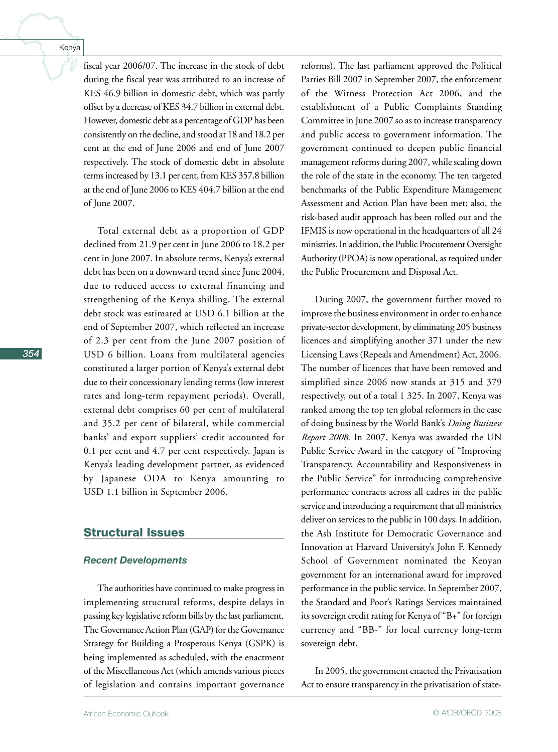fiscal year 2006/07. The increase in the stock of debt during the fiscal year was attributed to an increase of KES 46.9 billion in domestic debt, which was partly offset by a decrease of KES 34.7 billion in external debt. However, domestic debt as a percentage of GDP has been consistently on the decline, and stood at 18 and 18.2 per cent at the end of June 2006 and end of June 2007 respectively. The stock of domestic debt in absolute termsincreased by 13.1 per cent, from KES 357.8 billion at the end of June 2006 to KES 404.7 billion at the end of June 2007.

Total external debt as a proportion of GDP declined from 21.9 per cent in June 2006 to 18.2 per cent in June 2007. In absolute terms, Kenya's external debt has been on a downward trend since June 2004, due to reduced access to external financing and strengthening of the Kenya shilling. The external debt stock was estimated at USD 6.1 billion at the end of September 2007, which reflected an increase of 2.3 per cent from the June 2007 position of USD 6 billion. Loans from multilateral agencies constituted a larger portion of Kenya's external debt due to their concessionary lending terms (low interest rates and long-term repayment periods). Overall, external debt comprises 60 per cent of multilateral and 35.2 per cent of bilateral, while commercial banks' and export suppliers' credit accounted for 0.1 per cent and 4.7 per cent respectively. Japan is Kenya's leading development partner, as evidenced by Japanese ODA to Kenya amounting to USD 1.1 billion in September 2006.

### **Structural Issues**

#### *Recent Developments*

The authorities have continued to make progress in implementing structural reforms, despite delays in passing key legislative reform bills by the last parliament. The Governance Action Plan (GAP) for the Governance Strategy for Building a Prosperous Kenya (GSPK) is being implemented as scheduled, with the enactment of the Miscellaneous Act (which amends various pieces of legislation and contains important governance reforms). The last parliament approved the Political Parties Bill 2007 in September 2007, the enforcement of the Witness Protection Act 2006, and the establishment of a Public Complaints Standing Committee in June 2007 so as to increase transparency and public access to government information. The government continued to deepen public financial management reforms during 2007, while scaling down the role of the state in the economy. The ten targeted benchmarks of the Public Expenditure Management Assessment and Action Plan have been met; also, the risk-based audit approach has been rolled out and the IFMIS is now operational in the headquarters of all 24 ministries. In addition, the Public Procurement Oversight Authority (PPOA) is now operational, as required under the Public Procurement and Disposal Act.

During 2007, the government further moved to improve the business environment in order to enhance private-sector development, by eliminating 205 business licences and simplifying another 371 under the new Licensing Laws (Repeals and Amendment) Act, 2006. The number of licences that have been removed and simplified since 2006 now stands at 315 and 379 respectively, out of a total 1 325. In 2007, Kenya was ranked among the top ten global reformers in the ease of doing business by the World Bank's *Doing Business Report 2008*. In 2007, Kenya was awarded the UN Public Service Award in the category of "Improving Transparency, Accountability and Responsiveness in the Public Service" for introducing comprehensive performance contracts across all cadres in the public service and introducing a requirement that all ministries deliver on services to the public in 100 days. In addition, the Ash Institute for Democratic Governance and Innovation at Harvard University's John F. Kennedy School of Government nominated the Kenyan government for an international award for improved performance in the public service. In September 2007, the Standard and Poor's Ratings Services maintained its sovereign credit rating for Kenya of "B+" for foreign currency and "BB-" for local currency long-term sovereign debt.

In 2005, the government enacted the Privatisation Act to ensure transparency in the privatisation of state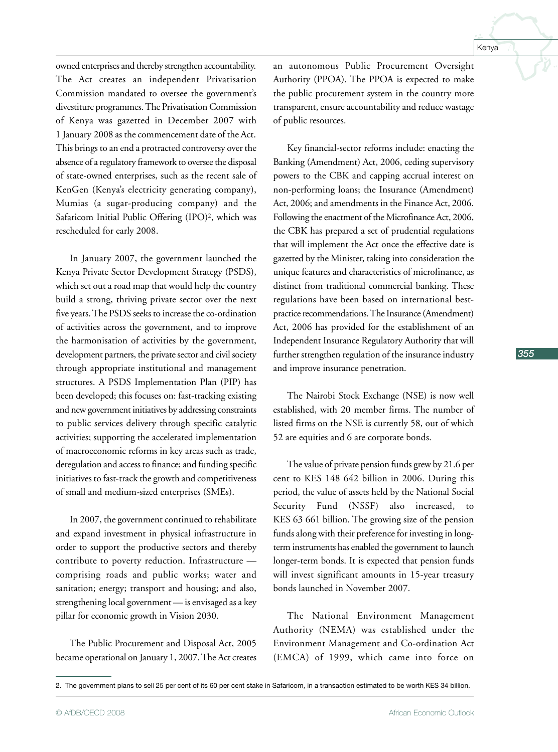owned enterprises and thereby strengthen accountability. The Act creates an independent Privatisation Commission mandated to oversee the government's divestiture programmes. The Privatisation Commission of Kenya was gazetted in December 2007 with 1 January 2008 as the commencement date of the Act. This brings to an end a protracted controversy over the absence of a regulatory framework to oversee the disposal of state-owned enterprises, such as the recent sale of KenGen (Kenya's electricity generating company), Mumias (a sugar-producing company) and the Safaricom Initial Public Offering (IPO)2, which was rescheduled for early 2008.

In January 2007, the government launched the Kenya Private Sector Development Strategy (PSDS), which set out a road map that would help the country build a strong, thriving private sector over the next five years. The PSDS seeks to increase the co-ordination of activities across the government, and to improve the harmonisation of activities by the government, development partners, the private sector and civil society through appropriate institutional and management structures. A PSDS Implementation Plan (PIP) has been developed; this focuses on: fast-tracking existing and newgovernment initiatives by addressing constraints to public services delivery through specific catalytic activities; supporting the accelerated implementation of macroeconomic reforms in key areas such as trade, deregulation and access to finance; and funding specific initiatives to fast-track the growth and competitiveness of small and medium-sized enterprises (SMEs).

In 2007, the government continued to rehabilitate and expand investment in physical infrastructure in order to support the productive sectors and thereby contribute to poverty reduction. Infrastructure comprising roads and public works; water and sanitation; energy; transport and housing; and also, strengthening local government — is envisaged as a key pillar for economic growth in Vision 2030.

The Public Procurement and Disposal Act, 2005 became operational on January 1, 2007.The Act creates an autonomous Public Procurement Oversight Authority (PPOA). The PPOA is expected to make the public procurement system in the country more transparent, ensure accountability and reduce wastage of public resources.

Key financial-sector reforms include: enacting the Banking (Amendment) Act, 2006, ceding supervisory powers to the CBK and capping accrual interest on non-performing loans; the Insurance (Amendment) Act, 2006; and amendments in the Finance Act, 2006. Following the enactment of the Microfinance Act, 2006, the CBK has prepared a set of prudential regulations that will implement the Act once the effective date is gazetted by the Minister, taking into consideration the unique features and characteristics of microfinance, as distinct from traditional commercial banking. These regulations have been based on international bestpractice recommendations. The Insurance (Amendment) Act, 2006 has provided for the establishment of an Independent Insurance Regulatory Authority that will further strengthen regulation of the insurance industry and improve insurance penetration.

The Nairobi Stock Exchange (NSE) is now well established, with 20 member firms. The number of listed firms on the NSE is currently 58, out of which 52 are equities and 6 are corporate bonds.

The value of private pension funds grew by 21.6 per cent to KES 148 642 billion in 2006. During this period, the value of assets held by the National Social Security Fund (NSSF) also increased, KES 63 661 billion. The growing size of the pension funds along with their preference for investing in longterm instruments has enabled the government to launch longer-term bonds. It is expected that pension funds will invest significant amounts in 15-year treasury bonds launched in November 2007.

The National Environment Management Authority (NEMA) was established under the Environment Management and Co-ordination Act (EMCA) of 1999, which came into force on

<sup>2.</sup> The government plans to sell 25 per cent of its 60 per cent stake in Safaricom, in a transaction estimated to be worth KES 34 billion.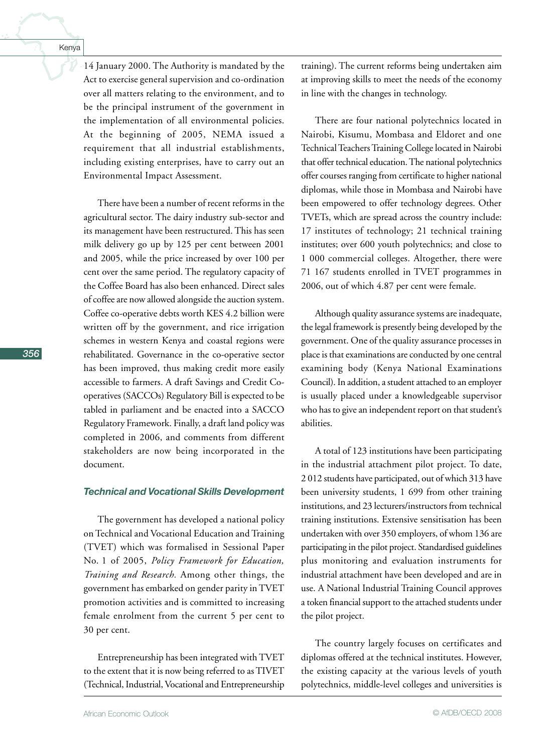14 January 2000. The Authority is mandated by the Act to exercise general supervision and co-ordination over all matters relating to the environment, and to be the principal instrument of the government in the implementation of all environmental policies. At the beginning of 2005, NEMA issued a requirement that all industrial establishments, including existing enterprises, have to carry out an Environmental Impact Assessment.

There have been a number of recent reforms in the agricultural sector. The dairy industry sub-sector and its management have been restructured. This has seen milk delivery go up by 125 per cent between 2001 and 2005, while the price increased by over 100 per cent over the same period. The regulatory capacity of the Coffee Board has also been enhanced. Direct sales of coffee are now allowed alongside the auction system. Coffee co-operative debts worth KES 4.2 billion were written off by the government, and rice irrigation schemes in western Kenya and coastal regions were rehabilitated. Governance in the co-operative sector has been improved, thus making credit more easily accessible to farmers. A draft Savings and Credit Cooperatives (SACCOs) Regulatory Bill is expected to be tabled in parliament and be enacted into a SACCO Regulatory Framework. Finally, a draft land policy was completed in 2006, and comments from different stakeholders are now being incorporated in the document.

#### *Technical and Vocational Skills Development*

The government has developed a national policy onTechnical and Vocational Education andTraining (TVET) which was formalised in Sessional Paper No. 1 of 2005, *Policy Framework for Education, Training and Research.* Among other things, the government has embarked on gender parity inTVET promotion activities and is committed to increasing female enrolment from the current 5 per cent to 30 per cent.

Entrepreneurship has been integrated with TVET to the extent that it is now being referred to as TIVET (Technical, Industrial,Vocational and Entrepreneurship

training). The current reforms being undertaken aim at improving skills to meet the needs of the economy in line with the changes in technology.

There are four national polytechnics located in Nairobi, Kisumu, Mombasa and Eldoret and one Technical Teachers Training College located in Nairobi that offer technical education. The national polytechnics offer courses ranging from certificate to higher national diplomas, while those in Mombasa and Nairobi have been empowered to offer technology degrees. Other TVETs, which are spread across the country include: 17 institutes of technology; 21 technical training institutes; over 600 youth polytechnics; and close to 1 000 commercial colleges. Altogether, there were 71 167 students enrolled in TVET programmes in 2006, out of which 4.87 per cent were female.

Although quality assurance systems are inadequate, the legal framework is presently being developed by the government. One of the quality assurance processes in place is that examinations are conducted by one central examining body (Kenya National Examinations Council).In addition, a student attached to an employer is usually placed under a knowledgeable supervisor who has to give an independent report on that student's abilities.

A total of 123 institutions have been participating in the industrial attachment pilot project. To date, 2 012 students have participated, out of which 313 have been university students, 1 699 from other training institutions, and 23 lecturers/instructors from technical training institutions. Extensive sensitisation has been undertaken with over 350 employers, of whom 136 are participating in the pilot project. Standardised guidelines plus monitoring and evaluation instruments for industrial attachment have been developed and are in use. A National Industrial Training Council approves a token financial support to the attached students under the pilot project.

The country largely focuses on certificates and diplomas offered at the technical institutes. However, the existing capacity at the various levels of youth polytechnics, middle-level colleges and universities is

*356*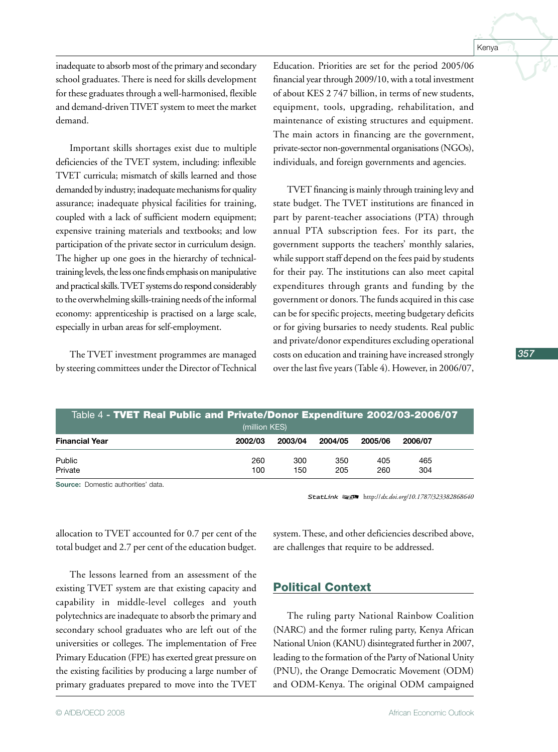inadequate to absorb most of the primary and secondary school graduates. There is need for skills development for these graduates through a well-harmonised, flexible and demand-driven TIVET system to meet the market demand.

Important skills shortages exist due to multiple deficiencies of the TVET system, including: inflexible TVET curricula; mismatch of skills learned and those demanded by industry; inadequate mechanisms for quality assurance; inadequate physical facilities for training, coupled with a lack of sufficient modern equipment; expensive training materials and textbooks; and low participation of the private sector in curriculum design. The higher up one goes in the hierarchy of technicaltraining levels, the less one finds emphasis on manipulative and practical skills. TVET systems do respond considerably to the overwhelming skills-training needs of the informal economy: apprenticeship is practised on a large scale, especially in urban areas for self-employment.

The TVET investment programmes are managed by steering committees under the Director ofTechnical Education. Priorities are set for the period 2005/06 financial year through 2009/10, with a total investment of about KES 2 747 billion, in terms of new students, equipment, tools, upgrading, rehabilitation, and maintenance of existing structures and equipment. The main actors in financing are the government, private-sector non-governmental organisations (NGOs), individuals, and foreign governments and agencies.

TVET financing is mainly through training levy and state budget. The TVET institutions are financed in part by parent-teacher associations (PTA) through annual PTA subscription fees. For its part, the government supports the teachers' monthly salaries, while support staff depend on the fees paid by students for their pay. The institutions can also meet capital expenditures through grants and funding by the government or donors. The funds acquired in this case can be for specific projects, meeting budgetary deficits or for giving bursaries to needy students. Real public and private/donor expenditures excluding operational costs on education and training have increased strongly over thelast five years (Table 4). However, in 2006/07,

| Table 4 - TVET Real Public and Private/Donor Expenditure 2002/03-2006/07 |         |         |         |         |         |  |  |
|--------------------------------------------------------------------------|---------|---------|---------|---------|---------|--|--|
| (million KES)                                                            |         |         |         |         |         |  |  |
| <b>Financial Year</b>                                                    | 2002/03 | 2003/04 | 2004/05 | 2005/06 | 2006/07 |  |  |
| Public                                                                   | 260     | 300     | 350     | 405     | 465     |  |  |
| Private                                                                  | 100     | 150     | 205     | 260     | 304     |  |  |

**Source:** Domestic authorities' data.

12 http://*[dx.doi.org/10.1787/323382868640](http://dx.doi.org/10.1787/323382868640)*

allocation to TVET accounted for 0.7 per cent of the total budget and 2.7 per cent of the education budget.

The lessons learned from an assessment of the existing TVET system are that existing capacity and capability in middle-level colleges and youth polytechnics are inadequate to absorb the primary and secondary school graduates who are left out of the universities or colleges. The implementation of Free Primary Education (FPE) has exerted great pressure on the existing facilities by producing a large number of primary graduates prepared to move into the TVET

system.These, and other deficiencies described above, are challenges that require to be addressed.

### **Political Context**

The ruling party National Rainbow Coalition (NARC) and the former ruling party, Kenya African National Union (KANU) disintegrated further in 2007, leading to the formation of the Party of National Unity (PNU), the Orange Democratic Movement (ODM) and ODM-Kenya. The original ODM campaigned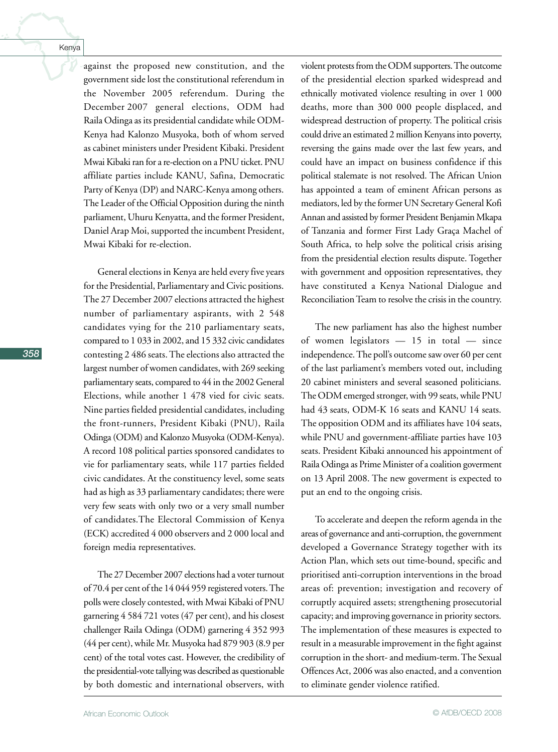against the proposed new constitution, and the government sidelost the constitutional referendum in the November 2005 referendum. During the December 2007 general elections, ODM had Raila Odinga as its presidential candidate while ODM-Kenya had Kalonzo Musyoka, both of whom served as cabinet ministers under President Kibaki. President Mwai Kibaki ran for a re-election on a PNU ticket. PNU affiliate parties include KANU, Safina, Democratic Party of Kenya (DP) and NARC-Kenya among others. The Leader of the Official Opposition during the ninth parliament, Uhuru Kenyatta, and the former President, Daniel Arap Moi, supported the incumbent President, Mwai Kibaki for re-election.

General elections in Kenya are held every five years for the Presidential, Parliamentary and Civic positions. The 27 December 2007 elections attracted the highest number of parliamentary aspirants, with 2 548 candidates vying for the 210 parliamentary seats, compared to 1 033 in 2002, and 15 332 civic candidates contesting 2 486 seats. The elections also attracted the largest number of women candidates, with 269 seeking parliamentary seats, compared to 44 in the 2002 General Elections, while another 1 478 vied for civic seats. Nine parties fielded presidential candidates, including the front-runners, President Kibaki (PNU), Raila Odinga (ODM) and Kalonzo Musyoka (ODM-Kenya). A record 108 political parties sponsored candidates to vie for parliamentary seats, while 117 parties fielded civic candidates. At the constituency level, some seats had as high as 33 parliamentary candidates; there were very few seats with only two or a very small number of candidates.The Electoral Commission of Kenya (ECK) accredited 4 000 observers and 2 000 local and foreign media representatives.

The 27 December 2007 elections had a voter turnout of 70.4 per cent of the 14 044 959 registered voters.The polls were closely contested, with Mwai Kibaki of PNU garnering 4 584 721 votes (47 per cent), and his closest challenger Raila Odinga (ODM) garnering 4 352 993 (44 per cent), while Mr. Musyoka had 879 903 (8.9 per cent) of the total votes cast. However, the credibility of the presidential-vote tallying was described as questionable by both domestic and international observers, with

violent protests from the ODM supporters. The outcome of the presidential election sparked widespread and ethnically motivated violence resulting in over 1 000 deaths, more than 300 000 people displaced, and widespread destruction of property. The political crisis could drive an estimated 2 million Kenyans into poverty, reversing the gains made over the last few years, and could have an impact on business confidence if this political stalemate is not resolved. The African Union has appointed a team of eminent African persons as mediators, led by the former UN Secretary General Kofi Annan and assisted by former President Benjamin Mkapa of Tanzania and former First Lady Graça Machel of South Africa, to help solve the political crisis arising from the presidential election results dispute. Together with government and opposition representatives, they have constituted a Kenya National Dialogue and Reconciliation Team to resolve the crisis in the country.

The new parliament has also the highest number of women legislators — 15 in total — since independence.The poll's outcomesaw over 60 per cent of the last parliament's members voted out, including 20 cabinet ministers and several seasoned politicians. The ODM emerged stronger, with 99 seats, while PNU had 43 seats, ODM-K 16 seats and KANU 14 seats. The opposition ODM and its affiliates have 104 seats, while PNU and government-affiliate parties have 103 seats. President Kibaki announced his appointment of Raila Odinga as Prime Minister of a coalition goverment on 13 April 2008. The new goverment is expected to put an end to the ongoing crisis.

To accelerate and deepen the reform agenda in the areas of governance and anti-corruption, the government developed a Governance Strategy together with its Action Plan, which sets out time-bound, specific and prioritised anti-corruption interventions in the broad areas of: prevention; investigation and recovery of corruptly acquired assets; strengthening prosecutorial capacity; and improving governance in priority sectors. The implementation of these measures is expected to result in a measurable improvement in the fight against corruption in the short- and medium-term. The Sexual Offences Act, 2006 was also enacted, and a convention to eliminate gender violence ratified.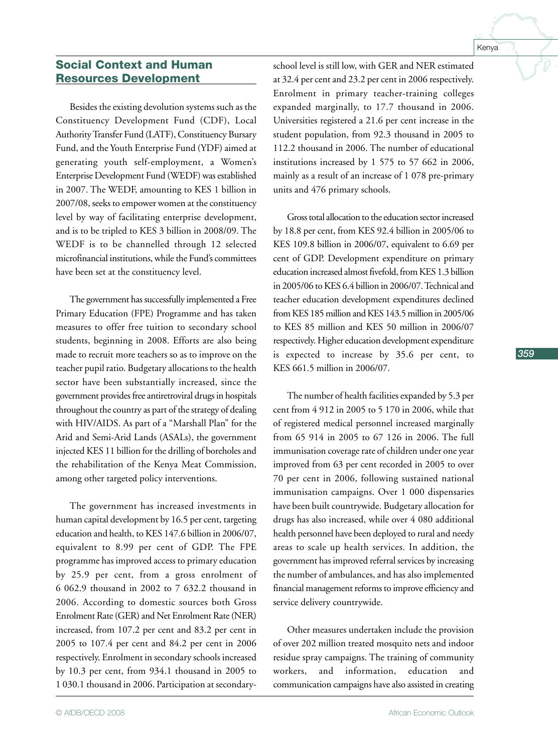# **Social Context and Human Resources Development**

Besides the existing devolution systems such as the Constituency Development Fund (CDF), Local Authority Transfer Fund (LATF), Constituency Bursary Fund, and the Youth Enterprise Fund (YDF) aimed at generating youth self-employment, a Women's Enterprise Development Fund (WEDF) was established in 2007. The WEDF, amounting to KES 1 billion in 2007/08, seeks to empower women at the constituency level by way of facilitating enterprise development, and is to be tripled to KES 3 billion in 2008/09. The WEDF is to be channelled through 12 selected microfinancial institutions, while the Fund's committees have been set at the constituency level.

The government has successfully implemented a Free Primary Education (FPE) Programme and has taken measures to offer free tuition to secondary school students, beginning in 2008. Efforts are also being made to recruit more teachers so as to improve on the teacher pupil ratio. Budgetary allocations to the health sector have been substantially increased, since the government provides free antiretroviral drugs in hospitals throughout the country as part of the strategy of dealing with HIV/AIDS. As part of a "Marshall Plan" for the Arid and Semi-Arid Lands (ASALs), the government injected KES 11 billion for the drilling of boreholes and the rehabilitation of the Kenya Meat Commission, among other targeted policy interventions.

The government has increased investments in human capital development by 16.5 per cent, targeting education and health, to KES 147.6 billion in 2006/07, equivalent to 8.99 per cent of GDP. The FPE programme has improved access to primary education by 25.9 per cent, from a gross enrolment of 6 062.9 thousand in 2002 to 7 632.2 thousand in 2006. According to domestic sources both Gross Enrolment Rate (GER) and Net Enrolment Rate (NER) increased, from 107.2 per cent and 83.2 per cent in 2005 to 107.4 per cent and 84.2 per cent in 2006 respectively. Enrolment in secondary schools increased by 10.3 per cent, from 934.1 thousand in 2005 to 1 030.1 thousand in 2006. Participation at secondaryschool level is still low, with GER and NER estimated at 32.4 per cent and 23.2 per cent in 2006 respectively. Enrolment in primary teacher-training colleges expanded marginally, to 17.7 thousand in 2006. Universities registered a 21.6 per cent increase in the student population, from 92.3 thousand in 2005 to 112.2 thousand in 2006. The number of educational institutions increased by 1 575 to 57 662 in 2006, mainly as a result of an increase of 1 078 pre-primary units and 476 primary schools.

Gross total allocation to the education sector increased by 18.8 per cent, from KES 92.4 billion in 2005/06 to KES 109.8 billion in 2006/07, equivalent to 6.69 per cent of GDP. Development expenditure on primary education increased almost fivefold, from KES 1.3 billion in 2005/06 to KES 6.4 billion in 2006/07. Technical and teacher education development expenditures declined from KES 185 million and KES 143.5 million in 2005/06 to KES 85 million and KES 50 million in 2006/07 respectively. Higher education development expenditure is expected to increase by 35.6 per cent, to KES 661.5 million in 2006/07.

The number of health facilities expanded by 5.3 per cent from 4 912 in 2005 to 5 170 in 2006, while that of registered medical personnel increased marginally from 65 914 in 2005 to 67 126 in 2006. The full immunisation coverage rate of children under one year improved from 63 per cent recorded in 2005 to over 70 per cent in 2006, following sustained national immunisation campaigns. Over 1 000 dispensaries have been built countrywide. Budgetary allocation for drugs has also increased, while over 4 080 additional health personnel have been deployed to rural and needy areas to scale up health services. In addition, the government has improved referral services by increasing the number of ambulances, and has also implemented financial management reforms to improve efficiency and service delivery countrywide.

Other measures undertaken include the provision of over 202 million treated mosquito nets and indoor residue spray campaigns. The training of community workers, and information, education and communication campaigns have also assisted in creating